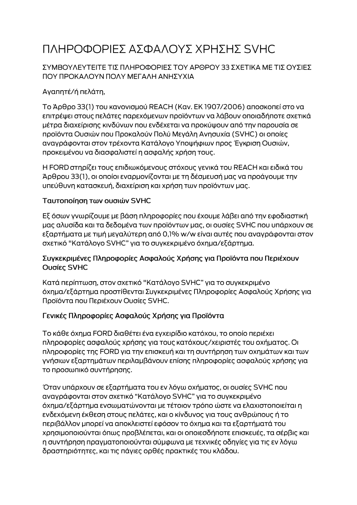# ΠΛΗΡΟΦΟΡΙΕΣ ΑΣΦΑΛΟΥΣ ΧΡΗΣΗΣ SVHC

### ΣΥΜΒΟΥΛΕΥΤΕΙΤΕ ΤΙΣ ΠΛΗΡΟΦΟΡΙΕΣ ΤΟΥ ΑΡΘΡΟΥ 33 ΣΧΕΤΙΚΑ ΜΕ ΤΙΣ ΟΥΣΙΕΣ ΠΟΥ ΠΡΟΚΑΛΟΥΝ ΠΟΛΥ ΜΕΓΑΛΗ ΑΝΗΣΥΧΙΑ

# Αγαπητέ/ή πελάτη,

Το Άρθρο 33(1) του κανονισμού REACH (Καν. ΕΚ 1907/2006) αποσκοπεί στο να επιτρέψει στους πελάτες παρεχόμενων προϊόντων να λάβουν οποιαδήποτε σχετικά μέτρα διαχείρισης κινδύνων που ενδέχεται να προκύψουν από την παρουσία σε προϊόντα Ουσιών που Προκαλούν Πολύ Μεγάλη Ανησυχία (SVHC) οι οποίες αναγράφονται στον τρέχοντα Κατάλογο Υποψήφιων προς Έγκριση Ουσιών, προκειμένου να διασφαλιστεί η ασφαλής χρήση τους.

Η FORD στηρίζει τους επιδιωκόμενους στόχους γενικά του REACH και ειδικά του Άρθρου 33(1), οι οποίοι εναρμονίζονται με τη δέσμευσή μας να προάγουμε την υπεύθυνη κατασκευή, διαχείριση και χρήση των προϊόντων μας.

#### Ταυτοποίηση των ουσιών SVHC

Εξ όσων γνωρίζουμε με βάση πληροφορίες που έχουμε λάβει από την εφοδιαστική μας αλυσίδα και τα δεδομένα των προϊόντων μας, οι ουσίες SVHC που υπάρχουν σε εξαρτήματα με τιμή μεγαλύτερη από 0,1% w/w είναι αυτές που αναγράφονται στον σχετικό "Κατάλογο SVHC" για το συγκεκριμένο όχημα/εξάρτημα.

#### Συγκεκριμένες Πληροφορίες Ασφαλούς Χρήσης για Προϊόντα που Περιέχουν Ουσίες SVHC

Κατά περίπτωση, στον σχετικό "Κατάλογο SVHC" για το συγκεκριμένο όχημα/εξάρτημα προστίθενται Συγκεκριμένες Πληροφορίες Ασφαλούς Χρήσης για Προϊόντα που Περιέχουν Ουσίες SVHC.

## Γενικές Πληροφορίες Ασφαλούς Χρήσης για Προϊόντα

Το κάθε όχημα FORD διαθέτει ένα εγχειρίδιο κατόχου, το οποίο περιέχει πληροφορίες ασφαλούς χρήσης για τους κατόχους/χειριστές του οχήματος. Οι πληροφορίες της FORD για την επισκευή και τη συντήρηση των οχημάτων και των γνήσιων εξαρτημάτων περιλαμβάνουν επίσης πληροφορίες ασφαλούς χρήσης για το προσωπικό συντήρησης.

Όταν υπάρχουν σε εξαρτήματα του εν λόγω οχήματος, οι ουσίες SVHC που αναγράφονται στον σχετικό "Κατάλογο SVHC" για το συγκεκριμένο όχημα/εξάρτημα ενσωματώνονται με τέτοιον τρόπο ώστε να ελαχιστοποιείται η ενδεχόμενη έκθεση στους πελάτες, και ο κίνδυνος για τους ανθρώπους ή το περιβάλλον μπορεί να αποκλειστεί εφόσον το όχημα και τα εξαρτήματά του χρησιμοποιούνται όπως προβλέπεται, και οι οποιεσδήποτε επισκευές, τα σέρβις και η συντήρηση πραγματοποιούνται σύμφωνα με τεχνικές οδηγίες για τις εν λόγω δραστηριότητες, και τις πάγιες ορθές πρακτικές του κλάδου.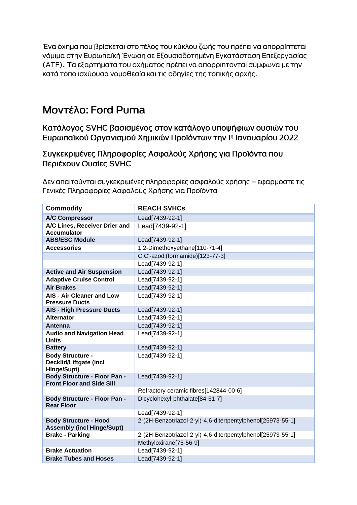Ένα όχημα που βρίσκεται στο τέλος του κύκλου ζωής του πρέπει να απορρίπτεται νόμιμα στην Ευρωπαϊκή Ένωση σε Εξουσιοδοτημένη Εγκατάσταση Επεξεργασίας (ΑΤΕ). Τα εξαρτήματα του οχήματος πρέπει να απορρίπτονται σύμφωνα με την κατά τόπο ισχύουσα νομοθεσία και τις οδηγίες της τοπικής αρχής.

# Moντέλο: Ford Puma

Κατάλογος SVHC βασισμένος στον κατάλογο υποψήφιων ουσιών του Ευρωπαϊκού Οργανισμού Χημικών Προϊόντων την 1η Ιανουαρίου 2022

Συγκεκριμένες Πληροφορίες Ασφαλούς Χρήσης για Προϊόντα που Περιέχουν Ουσίες SVHC

Δεν απαιτούνται συγκεκριμένες πληροφορίες ασφαλούς χρήσης – εφαρμόστε τις Γενικές Πληροφορίες Ασφαλούς Χρήσης για Προϊόντα

| <b>Commodity</b>                                                  | <b>REACH SVHCs</b>                                          |
|-------------------------------------------------------------------|-------------------------------------------------------------|
| <b>A/C Compressor</b>                                             | Lead[7439-92-1]                                             |
| A/C Lines, Receiver Drier and<br><b>Accumulator</b>               | Lead[7439-92-1]                                             |
| <b>ABS/ESC Module</b>                                             | Lead[7439-92-1]                                             |
| <b>Accessories</b>                                                | 1,2-Dimethoxyethane[110-71-4]                               |
|                                                                   | C,C'-azodi(formamide)[123-77-3]                             |
|                                                                   | Lead[7439-92-1]                                             |
| <b>Active and Air Suspension</b>                                  | Lead[7439-92-1]                                             |
| <b>Adaptive Cruise Control</b>                                    | Lead[7439-92-1]                                             |
| <b>Air Brakes</b>                                                 | Lead[7439-92-1]                                             |
| <b>AIS - Air Cleaner and Low</b><br><b>Pressure Ducts</b>         | Lead[7439-92-1]                                             |
| <b>AIS - High Pressure Ducts</b>                                  | Lead[7439-92-1]                                             |
| <b>Alternator</b>                                                 | Lead[7439-92-1]                                             |
| Antenna                                                           | Lead[7439-92-1]                                             |
| <b>Audio and Navigation Head</b><br><b>Units</b>                  | Lead[7439-92-1]                                             |
| <b>Battery</b>                                                    | Lead[7439-92-1]                                             |
| <b>Body Structure -</b><br>Decklid/Liftgate (incl<br>Hinge/Supt)  | Lead[7439-92-1]                                             |
| Body Structure - Floor Pan -<br><b>Front Floor and Side Sill</b>  | Lead[7439-92-1]                                             |
|                                                                   | Refractory ceramic fibres[142844-00-6]                      |
| <b>Body Structure - Floor Pan -</b><br><b>Rear Floor</b>          | Dicyclohexyl-phthalate[84-61-7]                             |
|                                                                   | Lead[7439-92-1]                                             |
| <b>Body Structure - Hood</b><br><b>Assembly (incl Hinge/Supt)</b> | 2-(2H-Benzotriazol-2-yl)-4,6-ditertpentylphenol[25973-55-1] |
| <b>Brake - Parking</b>                                            | 2-(2H-Benzotriazol-2-yl)-4,6-ditertpentylphenol[25973-55-1] |
|                                                                   | Methyloxirane[75-56-9]                                      |
| <b>Brake Actuation</b>                                            | Lead[7439-92-1]                                             |
| <b>Brake Tubes and Hoses</b>                                      | Lead[7439-92-1]                                             |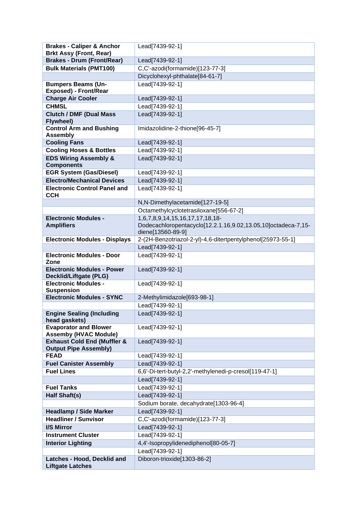| <b>Brakes - Caliper &amp; Anchor</b>                               | Lead[7439-92-1]                                               |
|--------------------------------------------------------------------|---------------------------------------------------------------|
| <b>Brkt Assy (Front, Rear)</b>                                     |                                                               |
| <b>Brakes - Drum (Front/Rear)</b>                                  | Lead[7439-92-1]                                               |
| <b>Bulk Materials (PMT100)</b>                                     | C,C'-azodi(formamide)[123-77-3]                               |
|                                                                    | Dicyclohexyl-phthalate[84-61-7]                               |
| <b>Bumpers Beams (Un-</b>                                          | Lead[7439-92-1]                                               |
| <b>Exposed) - Front/Rear</b>                                       |                                                               |
| <b>Charge Air Cooler</b>                                           | Lead[7439-92-1]                                               |
| <b>CHMSL</b>                                                       | Lead[7439-92-1]                                               |
| <b>Clutch / DMF (Dual Mass)</b><br>Flywheel)                       | Lead[7439-92-1]                                               |
| <b>Control Arm and Bushing</b><br><b>Assembly</b>                  | Imidazolidine-2-thione[96-45-7]                               |
| <b>Cooling Fans</b>                                                | Lead[7439-92-1]                                               |
| <b>Cooling Hoses &amp; Bottles</b>                                 | Lead[7439-92-1]                                               |
| <b>EDS Wiring Assembly &amp;</b><br><b>Components</b>              | Lead[7439-92-1]                                               |
| <b>EGR System (Gas/Diesel)</b>                                     | Lead[7439-92-1]                                               |
| <b>Electro/Mechanical Devices</b>                                  | Lead[7439-92-1]                                               |
| <b>Electronic Control Panel and</b><br><b>CCH</b>                  | Lead[7439-92-1]                                               |
|                                                                    | N,N-Dimethylacetamide[127-19-5]                               |
|                                                                    | Octamethylcyclotetrasiloxane[556-67-2]                        |
| <b>Electronic Modules -</b>                                        | 1,6,7,8,9,14,15,16,17,17,18,18-                               |
| <b>Amplifiers</b>                                                  | Dodecachloropentacyclo[12.2.1.16,9.02,13.05,10]octadeca-7,15- |
|                                                                    | diene[13560-89-9]                                             |
| <b>Electronic Modules - Displays</b>                               | 2-(2H-Benzotriazol-2-yl)-4,6-ditertpentylphenol[25973-55-1]   |
|                                                                    | Lead[7439-92-1]                                               |
| <b>Electronic Modules - Door</b><br>Zone                           | Lead[7439-92-1]                                               |
| <b>Electronic Modules - Power</b><br><b>Decklid/Liftgate (PLG)</b> | Lead[7439-92-1]                                               |
| <b>Electronic Modules -</b><br><b>Suspension</b>                   | Lead[7439-92-1]                                               |
| <b>Electronic Modules - SYNC</b>                                   | 2-Methylimidazole[693-98-1]                                   |
|                                                                    | Lead[7439-92-1]                                               |
| <b>Engine Sealing (Including</b><br>head gaskets)                  | Lead[7439-92-1]                                               |
| <b>Evaporator and Blower</b><br><b>Assemby (HVAC Module)</b>       | Lead[7439-92-1]                                               |
| <b>Exhaust Cold End (Muffler &amp;</b>                             | Lead[7439-92-1]                                               |
| <b>Output Pipe Assembly)</b>                                       |                                                               |
| <b>FEAD</b>                                                        | Lead[7439-92-1]                                               |
| <b>Fuel Canister Assembly</b>                                      | Lead[7439-92-1]                                               |
| <b>Fuel Lines</b>                                                  | 6,6'-Di-tert-butyl-2,2'-methylenedi-p-cresol[119-47-1]        |
|                                                                    | Lead[7439-92-1]                                               |
| <b>Fuel Tanks</b>                                                  | Lead[7439-92-1]                                               |
| Half Shaft(s)                                                      | Lead[7439-92-1]                                               |
|                                                                    | Sodium borate, decahydrate[1303-96-4]                         |
| <b>Headlamp / Side Marker</b>                                      | Lead[7439-92-1]                                               |
| <b>Headliner / Sunvisor</b>                                        | C,C'-azodi(formamide)[123-77-3]                               |
| I/S Mirror                                                         | Lead[7439-92-1]                                               |
| <b>Instrument Cluster</b>                                          | Lead[7439-92-1]                                               |
| <b>Interior Lighting</b>                                           | 4,4'-Isopropylidenediphenol[80-05-7]                          |
|                                                                    | Lead[7439-92-1]                                               |
| Latches - Hood, Decklid and                                        | Diboron-trioxide[1303-86-2]                                   |
| <b>Liftgate Latches</b>                                            |                                                               |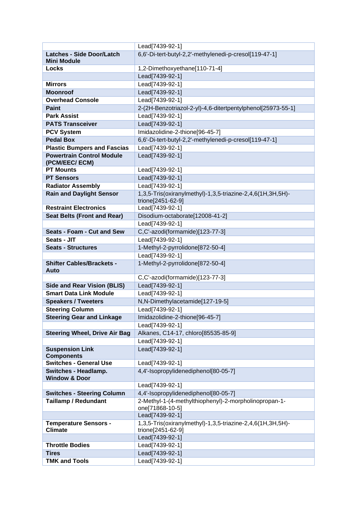|                                                         | Lead[7439-92-1]                                                                 |
|---------------------------------------------------------|---------------------------------------------------------------------------------|
| <b>Latches - Side Door/Latch</b>                        | 6,6'-Di-tert-butyl-2,2'-methylenedi-p-cresol[119-47-1]                          |
| <b>Mini Module</b>                                      |                                                                                 |
| <b>Locks</b>                                            | 1,2-Dimethoxyethane[110-71-4]                                                   |
|                                                         | Lead[7439-92-1]                                                                 |
| <b>Mirrors</b>                                          | Lead[7439-92-1]                                                                 |
| <b>Moonroof</b>                                         | Lead[7439-92-1]                                                                 |
| <b>Overhead Console</b>                                 | Lead[7439-92-1]                                                                 |
| <b>Paint</b>                                            | 2-(2H-Benzotriazol-2-yl)-4,6-ditertpentylphenol[25973-55-1]                     |
| <b>Park Assist</b>                                      | Lead[7439-92-1]                                                                 |
| <b>PATS Transceiver</b>                                 | Lead[7439-92-1]                                                                 |
| <b>PCV System</b>                                       | Imidazolidine-2-thione[96-45-7]                                                 |
| <b>Pedal Box</b>                                        | 6,6'-Di-tert-butyl-2,2'-methylenedi-p-cresol[119-47-1]                          |
| <b>Plastic Bumpers and Fascias</b>                      | Lead[7439-92-1]                                                                 |
| <b>Powertrain Control Module</b><br>(PCM/EEC/ECM)       | Lead[7439-92-1]                                                                 |
| <b>PT Mounts</b>                                        | Lead[7439-92-1]                                                                 |
| <b>PT Sensors</b>                                       | Lead[7439-92-1]                                                                 |
| <b>Radiator Assembly</b>                                | Lead[7439-92-1]                                                                 |
| <b>Rain and Daylight Sensor</b>                         | 1,3,5-Tris(oxiranylmethyl)-1,3,5-triazine-2,4,6(1H,3H,5H)-<br>trione[2451-62-9] |
| <b>Restraint Electronics</b>                            | Lead[7439-92-1]                                                                 |
| <b>Seat Belts (Front and Rear)</b>                      | Disodium-octaborate[12008-41-2]                                                 |
|                                                         | Lead[7439-92-1]                                                                 |
| <b>Seats - Foam - Cut and Sew</b>                       | C,C'-azodi(formamide)[123-77-3]                                                 |
| Seats - JIT                                             | Lead[7439-92-1]                                                                 |
| <b>Seats - Structures</b>                               | 1-Methyl-2-pyrrolidone[872-50-4]                                                |
|                                                         | Lead[7439-92-1]                                                                 |
| <b>Shifter Cables/Brackets -</b><br>Auto                | 1-Methyl-2-pyrrolidone[872-50-4]                                                |
|                                                         | C,C'-azodi(formamide)[123-77-3]                                                 |
| <b>Side and Rear Vision (BLIS)</b>                      | Lead[7439-92-1]                                                                 |
| <b>Smart Data Link Module</b>                           | Lead[7439-92-1]                                                                 |
| <b>Speakers / Tweeters</b>                              | N,N-Dimethylacetamide[127-19-5]                                                 |
| <b>Steering Column</b>                                  | Lead[7439-92-1]                                                                 |
| <b>Steering Gear and Linkage</b>                        | Imidazolidine-2-thione[96-45-7]                                                 |
|                                                         | Lead[7439-92-1]                                                                 |
| <b>Steering Wheel, Drive Air Bag</b>                    | Alkanes, C14-17, chloro[85535-85-9]                                             |
|                                                         | Lead[7439-92-1]                                                                 |
| <b>Suspension Link</b><br><b>Components</b>             | Lead[7439-92-1]                                                                 |
| <b>Switches - General Use</b>                           | Lead[7439-92-1]                                                                 |
| <b>Switches - Headlamp.</b><br><b>Window &amp; Door</b> | 4,4'-Isopropylidenediphenol[80-05-7]                                            |
|                                                         |                                                                                 |
|                                                         | Lead[7439-92-1]                                                                 |
| <b>Switches - Steering Column</b>                       | 4,4'-Isopropylidenediphenol[80-05-7]                                            |
| <b>Taillamp / Redundant</b>                             | 2-Methyl-1-(4-methylthiophenyl)-2-morpholinopropan-1-<br>one[71868-10-5]        |
|                                                         | Lead[7439-92-1]                                                                 |
| <b>Temperature Sensors -</b><br><b>Climate</b>          | 1,3,5-Tris(oxiranylmethyl)-1,3,5-triazine-2,4,6(1H,3H,5H)-<br>trione[2451-62-9] |
|                                                         | Lead[7439-92-1]                                                                 |
| <b>Throttle Bodies</b>                                  | Lead[7439-92-1]                                                                 |
| <b>Tires</b>                                            | Lead[7439-92-1]                                                                 |